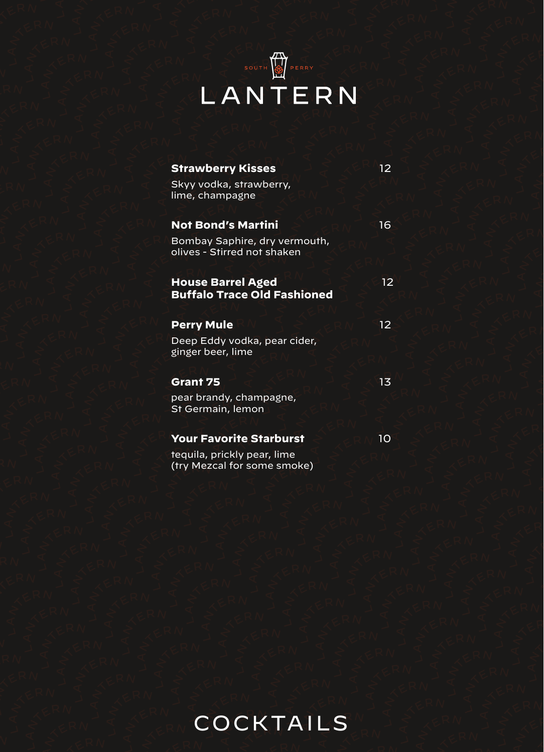## LANTERN

| <b>Strawberry Kisses</b>                                     | 12 |
|--------------------------------------------------------------|----|
| Skyy vodka, strawberry,<br>lime, champagne                   |    |
| <b>Not Bond's Martini</b>                                    | 16 |
| Bombay Saphire, dry vermouth,<br>olives - Stirred not shaken |    |
| <b>House Barrel Aged</b>                                     | 12 |
| <b>Buffalo Trace Old Fashioned</b>                           |    |
| <b>Perry Mule</b>                                            | 12 |
| Deep Eddy vodka, pear cider,<br>ginger beer, lime            |    |
| Grant 75                                                     | 13 |
|                                                              |    |
|                                                              |    |
| pear brandy, champagne,<br>St Germain, lemon                 |    |
|                                                              |    |
| <b>Your Favorite Starburst</b>                               | 10 |
| teguila, prickly pear, lime<br>(try Mezcal for some smoke)   |    |

COCKTAILS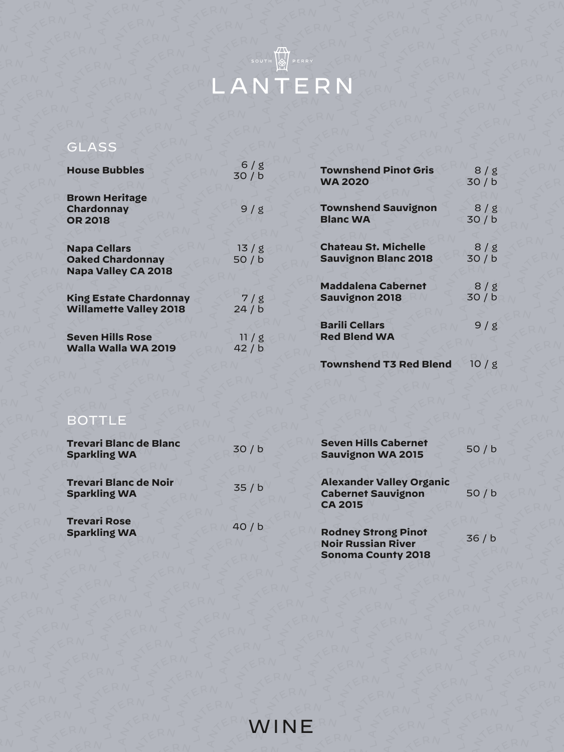

### GLASS

| <b>House Bubbles</b>                                                         | 6/g<br>30/b   |
|------------------------------------------------------------------------------|---------------|
| <b>Brown Heritage</b><br>Chardonnay<br><b>OR 2018</b>                        | 9/g           |
| <b>Napa Cellars</b><br><b>Oaked Chardonnay</b><br><b>Napa Valley CA 2018</b> | 13/g<br>50/b  |
| <b>King Estate Chardonnay</b><br><b>Willamette Valley 2018</b>               | 7/g<br>24/b   |
| <b>Seven Hills Rose</b><br>Walla Walla WA 2019                               | 11/g<br>42/ b |

| <b>Townshend Pinot Gris</b>                  | 8/g  |
|----------------------------------------------|------|
| <b>WA 2020</b>                               | 30/b |
| <b>Townshend Sauvignon</b>                   | 8/g  |
| <b>Blanc WA</b>                              | 30/b |
| <b>Chateau St. Michelle</b>                  | 8/g  |
| <b>Sauvignon Blanc 2018</b>                  | 30/b |
| <b>Maddalena Cabernet</b>                    | 8/g  |
| <b>Sauvignon 2018</b>                        | 30/b |
| <b>Barili Cellars</b><br><b>Red Blend WA</b> | 9/g  |
|                                              |      |

**Townshend T3 Red Blend** 10 / g

#### BOTTLE

| <b>Trevari Blanc de Blanc</b><br><b>Sparkling WA</b> | 30/b | <b>Seven Hills Cabernet</b><br><b>Sauvignon WA 2015</b>                              | 50/b |
|------------------------------------------------------|------|--------------------------------------------------------------------------------------|------|
| <b>Trevari Blanc de Noir</b><br><b>Sparkling WA</b>  | 35/b | <b>Alexander Valley Organic</b><br><b>Cabernet Sauvignon</b><br><b>CA 2015</b>       | 50/b |
| <b>Trevari Rose</b><br><b>Sparkling WA</b>           | 40/b | <b>Rodney Strong Pinot</b><br><b>Noir Russian River</b><br><b>Sonoma County 2018</b> | 36/b |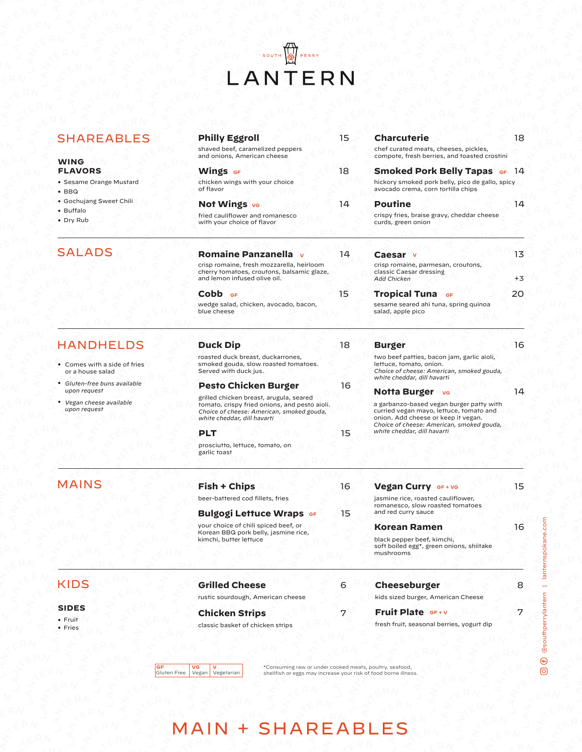# EANTERN

| <b>SHAREABLES</b>                                | <b>Philly Eggroll</b><br>shaved beef, caramelized peppers                                                                                                            | 15 | <b>Charcuterie</b><br>chef curated meats, cheeses, pickles,                                                                                       | 18   |
|--------------------------------------------------|----------------------------------------------------------------------------------------------------------------------------------------------------------------------|----|---------------------------------------------------------------------------------------------------------------------------------------------------|------|
| <b>WING</b>                                      | and onions, American cheese                                                                                                                                          |    | compote, fresh berries, and toasted crostini                                                                                                      |      |
| <b>FLAVORS</b>                                   | <b>Wings GF</b>                                                                                                                                                      | 18 | <b>Smoked Pork Belly Tapas GF 14</b>                                                                                                              |      |
| • Sesame Orange Mustard<br>$\cdot$ BBQ           | chicken wings with your choice<br>of flavor                                                                                                                          |    | hickory smoked pork belly, pico de gallo, spicy<br>avocado crema, corn tortilla chips                                                             |      |
| • Gochujang Sweet Chili                          | Not Wings ve                                                                                                                                                         | 14 | <b>Poutine</b>                                                                                                                                    | 14   |
| • Buffalo<br>• Dry Rub                           | fried cauliflower and romanesco<br>with your choice of flavor                                                                                                        |    | crispy fries, braise gravy, cheddar cheese<br>curds, green onion                                                                                  |      |
| <b>SALADS</b>                                    | <b>Romaine Panzanella</b>                                                                                                                                            | 14 | Caesar v                                                                                                                                          | 13   |
|                                                  | crisp romaine, fresh mozzarella, heirloom<br>cherry tomatoes, croutons, balsamic glaze,<br>and lemon infused olive oil.                                              |    | crisp romaine, parmesan, croutons,<br>classic Caesar dressing<br><b>Add Chicken</b>                                                               | $+3$ |
|                                                  | Cobb <sub>GF</sub>                                                                                                                                                   | 15 | <b>Tropical Tuna GF</b>                                                                                                                           | 20   |
|                                                  | wedge salad, chicken, avocado, bacon,<br>blue cheese                                                                                                                 |    | sesame seared ahi tuna, spring quinoa<br>salad, apple pico                                                                                        |      |
| <b>HANDHELDS</b>                                 | <b>Duck Dip</b>                                                                                                                                                      | 18 | <b>Burger</b>                                                                                                                                     | 16   |
| • Comes with a side of fries<br>or a house salad | roasted duck breast, duckarrones,<br>smoked gouda, slow roasted tomatoes.<br>Served with duck jus.                                                                   |    | two beef patties, bacon jam, garlic aioli,<br>lettuce, tomato, onion.<br>Choice of cheese: American, smoked gouda,<br>white cheddar, dill havarti |      |
| • Gluten-free buns available<br>upon request     | <b>Pesto Chicken Burger</b>                                                                                                                                          | 16 |                                                                                                                                                   | 14   |
| • Vegan cheese available<br>upon request         | grilled chicken breast, arugula, seared<br>tomato, crispy fried onions, and pesto aioli.<br>Choice of cheese: American, smoked gouda,<br>white cheddar, dill havarti |    | Notta Burger vs<br>a garbanzo-based vegan burger patty with<br>curried vegan mayo, lettuce, tomato and<br>onion. Add cheese or keep it vegan.     |      |
|                                                  | PLT                                                                                                                                                                  | 15 | Choice of cheese: American, smoked gouda,<br>white cheddar, dill havarti                                                                          |      |
|                                                  | prosciutto, lettuce, tomato, on<br>garlic toast                                                                                                                      |    |                                                                                                                                                   |      |
| <b>MAINS</b>                                     | <b>Fish + Chips</b>                                                                                                                                                  | 16 | Vegan Curry GF + VG                                                                                                                               | 15   |
|                                                  | beer-battered cod fillets, fries                                                                                                                                     |    | jasmine rice, roasted cauliflower,                                                                                                                |      |
|                                                  | <b>Bulgogi Lettuce Wraps GF</b>                                                                                                                                      | 15 | romanesco, slow roasted tomatoes<br>and red curry sauce                                                                                           |      |
|                                                  | your choice of chili spiced beef, or                                                                                                                                 |    | Korean Ramen                                                                                                                                      | 16   |
|                                                  | Korean BBQ pork belly, jasmine rice,<br>kimchi, butter lettuce                                                                                                       |    | black pepper beef, kimchi,<br>soft boiled egg*, green onions, shiitake<br>mushrooms                                                               |      |
| <b>KIDS</b>                                      | <b>Grilled Cheese</b>                                                                                                                                                | 6  | Cheeseburger                                                                                                                                      | 8    |
|                                                  | rustic sourdough, American cheese                                                                                                                                    |    | kids sized burger, American Cheese                                                                                                                |      |
| <b>SIDES</b>                                     | <b>Chicken Strips</b>                                                                                                                                                | 7  | Fruit Plate GF+V                                                                                                                                  | 7    |
| • Fruit<br>• Fries                               | classic basket of chicken strips                                                                                                                                     |    | fresh fruit, seasonal berries, yogurt dip                                                                                                         |      |
|                                                  |                                                                                                                                                                      |    |                                                                                                                                                   |      |

**GF**<br>Gluten Free Vegan Vegetarian

**GF** V V **Consuming raw or under cooked meats, poultry, seafood, Consuming raw or under cooked meats, poultry, seafood, Cuten Free Vegan Vegetarian** 

 $\textcircled{3}$   $\textcircled{4}$  @southperrylantern | lanternspokane.com @southperrylantern | lanternspokane.com

### MAIN + SHAREABLES